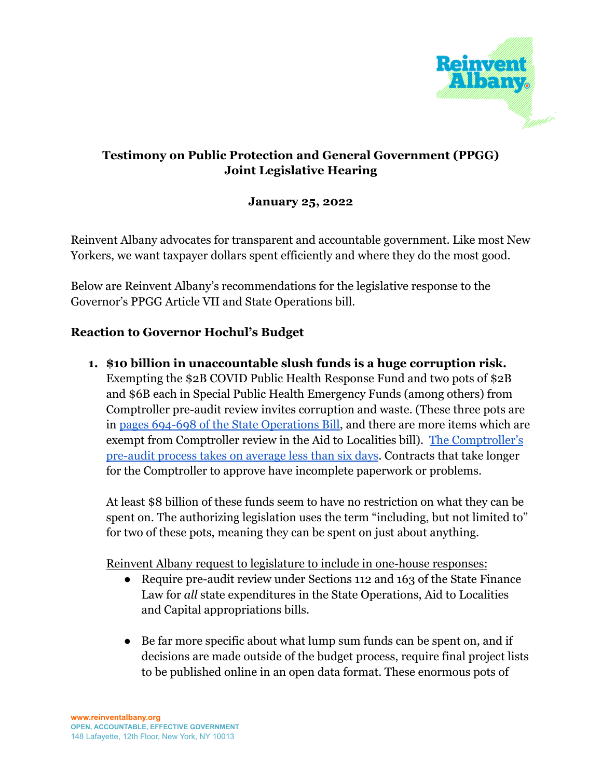

# **Testimony on Public Protection and General Government (PPGG) Joint Legislative Hearing**

### **January 25, 2022**

Reinvent Albany advocates for transparent and accountable government. Like most New Yorkers, we want taxpayer dollars spent efficiently and where they do the most good.

Below are Reinvent Albany's recommendations for the legislative response to the Governor's PPGG Article VII and State Operations bill.

### **Reaction to Governor Hochul's Budget**

**1. \$10 billion in unaccountable slush funds is a huge corruption risk.** Exempting the \$2B COVID Public Health Response Fund and two pots of \$2B and \$6B each in Special Public Health Emergency Funds (among others) from Comptroller pre-audit review invites corruption and waste. (These three pots are in [pages 694-698 of the State Operations Bill,](http://public.leginfo.state.ny.us/STATDOC/STO22.PDF) and there are more items which are exempt from Comptroller review in the Aid to Localities bill). [The Comptroller's](https://www.osc.state.ny.us/files/state-agencies/contracts/2020/pdf/state-contracts-by-numbers-2020.pdf) [pre-audit process takes on average less than six days](https://www.osc.state.ny.us/files/state-agencies/contracts/2020/pdf/state-contracts-by-numbers-2020.pdf). Contracts that take longer for the Comptroller to approve have incomplete paperwork or problems.

At least \$8 billion of these funds seem to have no restriction on what they can be spent on. The authorizing legislation uses the term "including, but not limited to" for two of these pots, meaning they can be spent on just about anything.

Reinvent Albany request to legislature to include in one-house responses:

- Require pre-audit review under Sections 112 and 163 of the State Finance Law for *all* state expenditures in the State Operations, Aid to Localities and Capital appropriations bills.
- Be far more specific about what lump sum funds can be spent on, and if decisions are made outside of the budget process, require final project lists to be published online in an open data format. These enormous pots of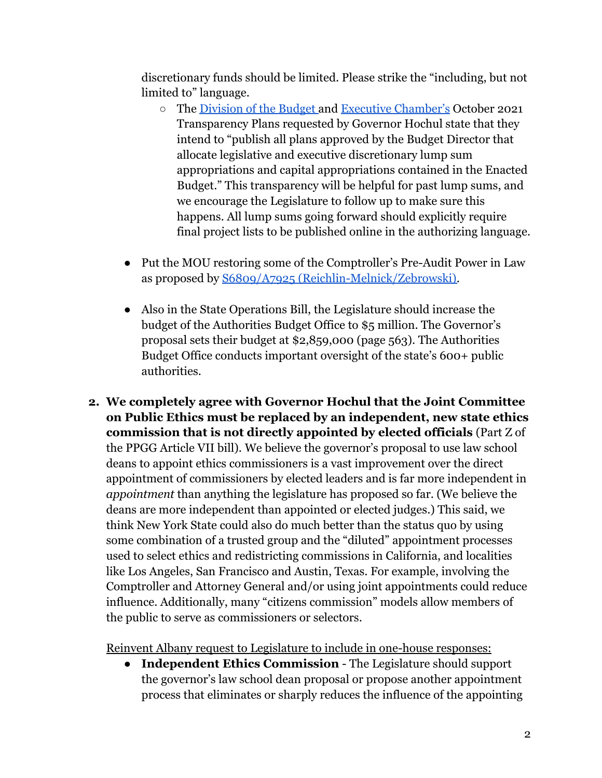discretionary funds should be limited. Please strike the "including, but not limited to" language.

- The [Division of the Budget](https://www.governor.ny.gov/sites/default/files/2021-10/Budget_TransparencyPlan.pdf) and [Executive Chamber's](https://www.governor.ny.gov/sites/default/files/2021-12/Executive_Chamber_Transparency_Plan.pdf) October 2021 Transparency Plans requested by Governor Hochul state that they intend to "publish all plans approved by the Budget Director that allocate legislative and executive discretionary lump sum appropriations and capital appropriations contained in the Enacted Budget." This transparency will be helpful for past lump sums, and we encourage the Legislature to follow up to make sure this happens. All lump sums going forward should explicitly require final project lists to be published online in the authorizing language.
- Put the MOU restoring some of the Comptroller's Pre-Audit Power in Law as proposed by [S6809/A7925 \(Reichlin-Melnick/Zebrowski\).](https://www.nysenate.gov/legislation/bills/2021/s6809)
- Also in the State Operations Bill, the Legislature should increase the budget of the Authorities Budget Office to \$5 million. The Governor's proposal sets their budget at \$2,859,000 (page 563). The Authorities Budget Office conducts important oversight of the state's 600+ public authorities.
- **2. We completely agree with Governor Hochul that the Joint Committee on Public Ethics must be replaced by an independent, new state ethics commission that is not directly appointed by elected officials** (Part Z of the PPGG Article VII bill). We believe the governor's proposal to use law school deans to appoint ethics commissioners is a vast improvement over the direct appointment of commissioners by elected leaders and is far more independent in *appointment* than anything the legislature has proposed so far. (We believe the deans are more independent than appointed or elected judges.) This said, we think New York State could also do much better than the status quo by using some combination of a trusted group and the "diluted" appointment processes used to select ethics and redistricting commissions in California, and localities like Los Angeles, San Francisco and Austin, Texas. For example, involving the Comptroller and Attorney General and/or using joint appointments could reduce influence. Additionally, many "citizens commission" models allow members of the public to serve as commissioners or selectors.

Reinvent Albany request to Legislature to include in one-house responses:

● **Independent Ethics Commission** - The Legislature should support the governor's law school dean proposal or propose another appointment process that eliminates or sharply reduces the influence of the appointing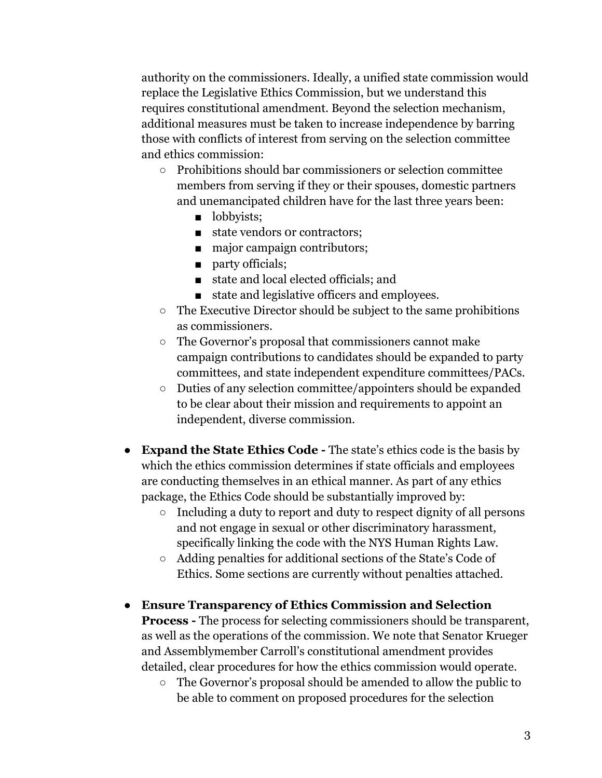authority on the commissioners. Ideally, a unified state commission would replace the Legislative Ethics Commission, but we understand this requires constitutional amendment. Beyond the selection mechanism, additional measures must be taken to increase independence by barring those with conflicts of interest from serving on the selection committee and ethics commission:

- $\circ$  Prohibitions should bar commissioners or selection committee members from serving if they or their spouses, domestic partners and unemancipated children have for the last three years been:
	- lobbyists:
	- state vendors or contractors;
	- major campaign contributors;
	- party officials;
	- state and local elected officials; and
	- state and legislative officers and employees.
- The Executive Director should be subject to the same prohibitions as commissioners.
- The Governor's proposal that commissioners cannot make campaign contributions to candidates should be expanded to party committees, and state independent expenditure committees/PACs.
- Duties of any selection committee/appointers should be expanded to be clear about their mission and requirements to appoint an independent, diverse commission.
- **Expand the State Ethics Code -** The state's ethics code is the basis by which the ethics commission determines if state officials and employees are conducting themselves in an ethical manner. As part of any ethics package, the Ethics Code should be substantially improved by:
	- Including a duty to report and duty to respect dignity of all persons and not engage in sexual or other discriminatory harassment, specifically linking the code with the NYS Human Rights Law.
	- Adding penalties for additional sections of the State's Code of Ethics. Some sections are currently without penalties attached.
- **Ensure Transparency of Ethics Commission and Selection Process -** The process for selecting commissioners should be transparent, as well as the operations of the commission. We note that Senator Krueger and Assemblymember Carroll's constitutional amendment provides detailed, clear procedures for how the ethics commission would operate.
	- The Governor's proposal should be amended to allow the public to be able to comment on proposed procedures for the selection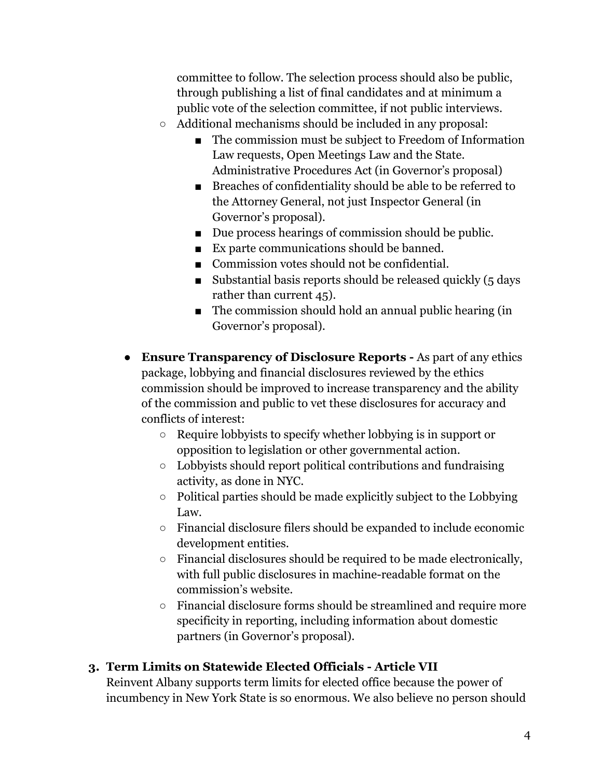committee to follow. The selection process should also be public, through publishing a list of final candidates and at minimum a public vote of the selection committee, if not public interviews.

- Additional mechanisms should be included in any proposal:
	- The commission must be subject to Freedom of Information Law requests, Open Meetings Law and the State. Administrative Procedures Act (in Governor's proposal)
	- Breaches of confidentiality should be able to be referred to the Attorney General, not just Inspector General (in Governor's proposal).
	- Due process hearings of commission should be public.
	- Ex parte communications should be banned.
	- Commission votes should not be confidential.
	- Substantial basis reports should be released quickly  $(5 \text{ days})$ rather than current 45).
	- The commission should hold an annual public hearing (in Governor's proposal).
- **● Ensure Transparency of Disclosure Reports -** As part of any ethics package, lobbying and financial disclosures reviewed by the ethics commission should be improved to increase transparency and the ability of the commission and public to vet these disclosures for accuracy and conflicts of interest:
	- Require lobbyists to specify whether lobbying is in support or opposition to legislation or other governmental action.
	- Lobbyists should report political contributions and fundraising activity, as done in NYC.
	- Political parties should be made explicitly subject to the Lobbying Law.
	- Financial disclosure filers should be expanded to include economic development entities.
	- Financial disclosures should be required to be made electronically, with full public disclosures in machine-readable format on the commission's website.
	- Financial disclosure forms should be streamlined and require more specificity in reporting, including information about domestic partners (in Governor's proposal).

## **3. Term Limits on Statewide Elected Officials - Article VII**

Reinvent Albany supports term limits for elected office because the power of incumbency in New York State is so enormous. We also believe no person should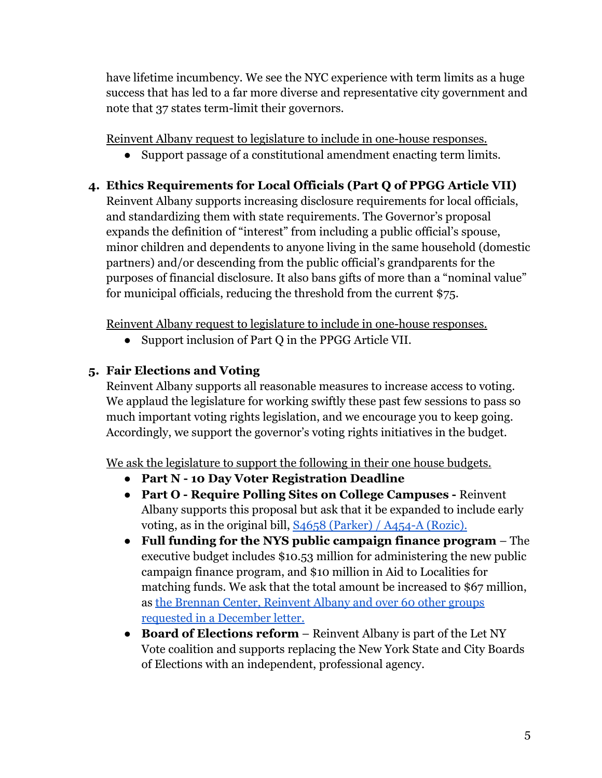have lifetime incumbency. We see the NYC experience with term limits as a huge success that has led to a far more diverse and representative city government and note that 37 states term-limit their governors.

Reinvent Albany request to legislature to include in one-house responses.

● Support passage of a constitutional amendment enacting term limits.

# **4. Ethics Requirements for Local Officials (Part Q of PPGG Article VII)**

Reinvent Albany supports increasing disclosure requirements for local officials, and standardizing them with state requirements. The Governor's proposal expands the definition of "interest" from including a public official's spouse, minor children and dependents to anyone living in the same household (domestic partners) and/or descending from the public official's grandparents for the purposes of financial disclosure. It also bans gifts of more than a "nominal value" for municipal officials, reducing the threshold from the current \$75.

Reinvent Albany request to legislature to include in one-house responses.

● Support inclusion of Part Q in the PPGG Article VII.

# **5. Fair Elections and Voting**

Reinvent Albany supports all reasonable measures to increase access to voting. We applaud the legislature for working swiftly these past few sessions to pass so much important voting rights legislation, and we encourage you to keep going. Accordingly, we support the governor's voting rights initiatives in the budget.

We ask the legislature to support the following in their one house budgets.

- **Part N 10 Day Voter Registration Deadline**
- **Part O Require Polling Sites on College Campuses -** Reinvent Albany supports this proposal but ask that it be expanded to include early voting, as in the original bill, [S4658 \(Parker\) /](https://www.nysenate.gov/legislation/bills/2021/s4658) A454-A (Rozic).
- **Full funding for the NYS public campaign finance program** The executive budget includes \$10.53 million for administering the new public campaign finance program, and \$10 million in Aid to Localities for matching funds. We ask that the total amount be increased to \$67 million, as [the Brennan Center, Reinvent Albany and over 60](https://www.brennancenter.org/our-work/research-reports/coalition-letter-urges-new-yorks-leaders-advance-democracy-reforms-2022) other groups [requested in a December letter.](https://www.brennancenter.org/our-work/research-reports/coalition-letter-urges-new-yorks-leaders-advance-democracy-reforms-2022)
- **Board of Elections reform** Reinvent Albany is part of the Let NY Vote coalition and supports replacing the New York State and City Boards of Elections with an independent, professional agency.